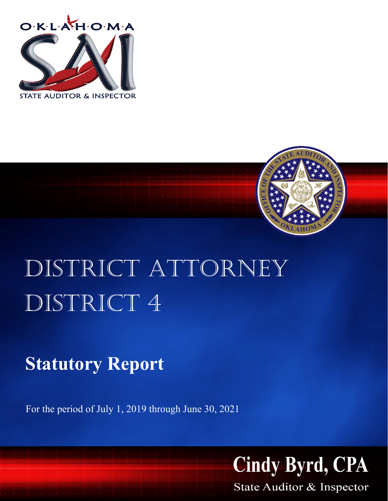



# DISTRICT ATTORNEY DISTRICT 4

# **Statutory Report**

For the period of July 1, 2019 through June 30, 2021



State Auditor & Inspector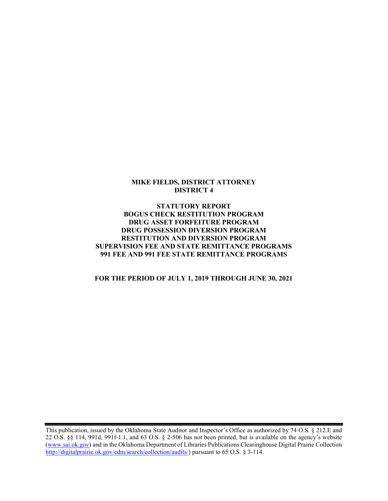#### MIKE FIELDS, DISTRICT ATTORNEY DISTRICT 4

#### STATUTORY REPORT BOGUS CHECK RESTITUTION PROGRAM DRUG ASSET FORFEITURE PROGRAM DRUG POSSESSION DIVERSION PROGRAM RESTITUTION AND DIVERSION PROGRAM SUPERVISION FEE AND STATE REMITTANCE PROGRAMS 991 FEE AND 991 FEE STATE REMITTANCE PROGRAMS

#### FOR THE PERIOD OF JULY 1, 2019 THROUGH JUNE 30, 2021

This publication, issued by the Oklahoma State Auditor and Inspector's Office as authorized by 74 O.S. § 212.E and 22 O.S. §§ 114, 991d, 991f-1.1, and 63 O.S. § 2-506 has not been printed, but is available on the agency's website (www.sai.ok.gov) and in the Oklahoma Department of Libraries Publications Clearinghouse Digital Prairie Collection http://digitalprairie.ok.gov/cdm/search/collection/audits/) pursuant to 65 O.S. § 3-114.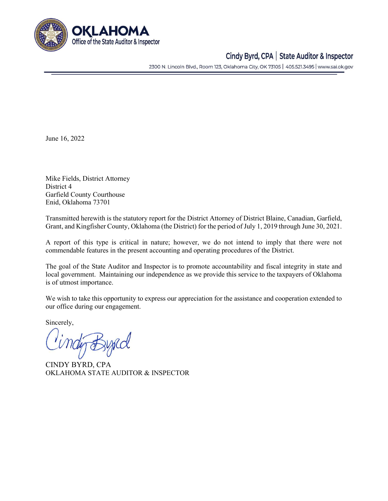

## Cindy Byrd, CPA | State Auditor & Inspector

2300 N. Lincoln Blvd., Room 123, Oklahoma City, OK 73105 | 405.521.3495 | www.sai.ok.gov

June 16, 2022

Mike Fields, District Attorney District 4 Garfield County Courthouse Enid, Oklahoma 73701

Transmitted herewith is the statutory report for the District Attorney of District Blaine, Canadian, Garfield, Grant, and Kingfisher County, Oklahoma (the District) for the period of July 1, 2019 through June 30, 2021.

A report of this type is critical in nature; however, we do not intend to imply that there were not commendable features in the present accounting and operating procedures of the District.

The goal of the State Auditor and Inspector is to promote accountability and fiscal integrity in state and local government. Maintaining our independence as we provide this service to the taxpayers of Oklahoma is of utmost importance.

We wish to take this opportunity to express our appreciation for the assistance and cooperation extended to our office during our engagement.

Sincerely,

CINDY BYRD, CPA OKLAHOMA STATE AUDITOR & INSPECTOR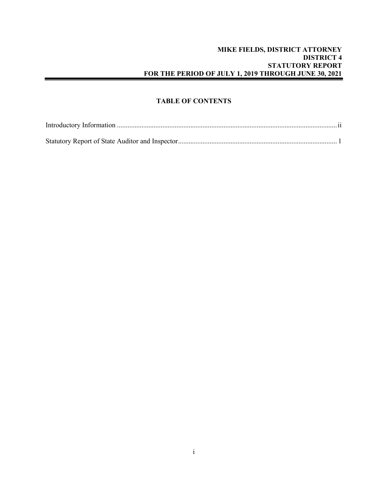#### MIKE FIELDS, DISTRICT ATTORNEY DISTRICT 4 STATUTORY REPORT FOR THE PERIOD OF JULY 1, 2019 THROUGH JUNE 30, 2021

#### TABLE OF CONTENTS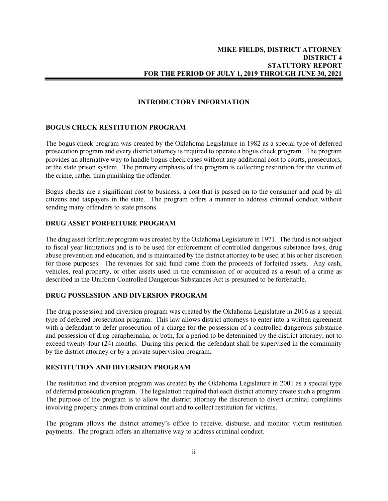#### INTRODUCTORY INFORMATION

#### BOGUS CHECK RESTITUTION PROGRAM

The bogus check program was created by the Oklahoma Legislature in 1982 as a special type of deferred prosecution program and every district attorney is required to operate a bogus check program. The program provides an alternative way to handle bogus check cases without any additional cost to courts, prosecutors, or the state prison system. The primary emphasis of the program is collecting restitution for the victim of the crime, rather than punishing the offender.

Bogus checks are a significant cost to business, a cost that is passed on to the consumer and paid by all citizens and taxpayers in the state. The program offers a manner to address criminal conduct without sending many offenders to state prisons.

#### DRUG ASSET FORFEITURE PROGRAM

The drug asset forfeiture program was created by the Oklahoma Legislature in 1971. The fund is not subject to fiscal year limitations and is to be used for enforcement of controlled dangerous substance laws, drug abuse prevention and education, and is maintained by the district attorney to be used at his or her discretion for those purposes. The revenues for said fund come from the proceeds of forfeited assets. Any cash, vehicles, real property, or other assets used in the commission of or acquired as a result of a crime as described in the Uniform Controlled Dangerous Substances Act is presumed to be forfeitable.

#### DRUG POSSESSION AND DIVERSION PROGRAM

The drug possession and diversion program was created by the Oklahoma Legislature in 2016 as a special type of deferred prosecution program. This law allows district attorneys to enter into a written agreement with a defendant to defer prosecution of a charge for the possession of a controlled dangerous substance and possession of drug paraphernalia, or both, for a period to be determined by the district attorney, not to exceed twenty-four (24) months. During this period, the defendant shall be supervised in the community by the district attorney or by a private supervision program.

#### RESTITUTION AND DIVERSION PROGRAM

The restitution and diversion program was created by the Oklahoma Legislature in 2001 as a special type of deferred prosecution program. The legislation required that each district attorney create such a program. The purpose of the program is to allow the district attorney the discretion to divert criminal complaints involving property crimes from criminal court and to collect restitution for victims.

The program allows the district attorney's office to receive, disburse, and monitor victim restitution payments. The program offers an alternative way to address criminal conduct.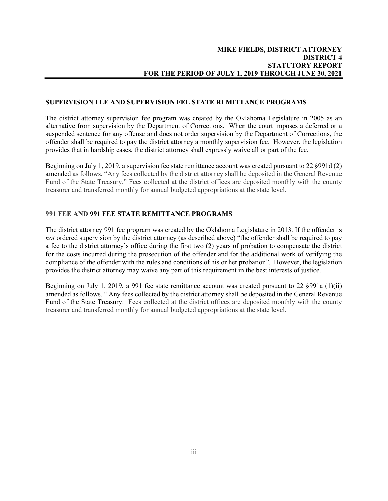#### SUPERVISION FEE AND SUPERVISION FEE STATE REMITTANCE PROGRAMS

The district attorney supervision fee program was created by the Oklahoma Legislature in 2005 as an alternative from supervision by the Department of Corrections. When the court imposes a deferred or a suspended sentence for any offense and does not order supervision by the Department of Corrections, the offender shall be required to pay the district attorney a monthly supervision fee. However, the legislation provides that in hardship cases, the district attorney shall expressly waive all or part of the fee.

Beginning on July 1, 2019, a supervision fee state remittance account was created pursuant to 22 §991d (2) amended as follows, "Any fees collected by the district attorney shall be deposited in the General Revenue Fund of the State Treasury." Fees collected at the district offices are deposited monthly with the county treasurer and transferred monthly for annual budgeted appropriations at the state level.

#### 991 FEE AND 991 FEE STATE REMITTANCE PROGRAMS

The district attorney 991 fee program was created by the Oklahoma Legislature in 2013. If the offender is not ordered supervision by the district attorney (as described above) "the offender shall be required to pay a fee to the district attorney's office during the first two (2) years of probation to compensate the district for the costs incurred during the prosecution of the offender and for the additional work of verifying the compliance of the offender with the rules and conditions of his or her probation". However, the legislation provides the district attorney may waive any part of this requirement in the best interests of justice.

Beginning on July 1, 2019, a 991 fee state remittance account was created pursuant to 22 §991a (1)(ii) amended as follows, " Any fees collected by the district attorney shall be deposited in the General Revenue Fund of the State Treasury. Fees collected at the district offices are deposited monthly with the county treasurer and transferred monthly for annual budgeted appropriations at the state level.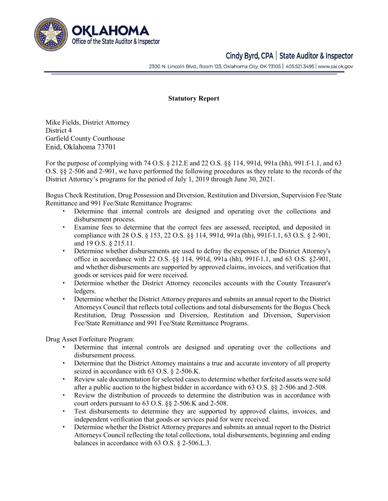

## Cindy Byrd, CPA | State Auditor & Inspector

2300 N. Lincoln Blvd., Room 123, Oklahoma City, OK 73105 | 405.521.3495 | www.sai.ok.gov

#### Statutory Report

Mike Fields, District Attorney District 4 Garfield County Courthouse Enid, Oklahoma 73701

For the purpose of complying with 74 O.S. § 212.E and 22 O.S. §§ 114, 991d, 991a (hh), 991.f-1.1, and 63 O.S. §§ 2-506 and 2-901, we have performed the following procedures as they relate to the records of the District Attorney's programs for the period of July 1, 2019 through June 30, 2021.

Bogus Check Restitution, Drug Possession and Diversion, Restitution and Diversion, Supervision Fee/State Remittance and 991 Fee/State Remittance Programs:

- Determine that internal controls are designed and operating over the collections and disbursement process.
- Examine fees to determine that the correct fees are assessed, receipted, and deposited in compliance with 28 O.S. § 153, 22 O.S. §§ 114, 991d, 991a (hh), 991f-1.1, 63 O.S. § 2-901, and 19 O.S. § 215.11.
- Determine whether disbursements are used to defray the expenses of the District Attorney's office in accordance with 22 O.S. §§ 114, 991d, 991a (hh), 991f-1.1, and 63 O.S. §2-901, and whether disbursements are supported by approved claims, invoices, and verification that goods or services paid for were received.
- Determine whether the District Attorney reconciles accounts with the County Treasurer's ledgers.
- Determine whether the District Attorney prepares and submits an annual report to the District Attorneys Council that reflects total collections and total disbursements for the Bogus Check Restitution, Drug Possession and Diversion, Restitution and Diversion, Supervision Fee/State Remittance and 991 Fee/State Remittance Programs.

Drug Asset Forfeiture Program:

- Determine that internal controls are designed and operating over the collections and disbursement process.
- Determine that the District Attorney maintains a true and accurate inventory of all property seized in accordance with 63 O.S. § 2-506.K.
- Review sale documentation for selected cases to determine whether forfeited assets were sold after a public auction to the highest bidder in accordance with 63 O.S. §§ 2-506 and 2-508.
- Review the distribution of proceeds to determine the distribution was in accordance with court orders pursuant to 63 O.S. §§ 2-506.K and 2-508.
- Test disbursements to determine they are supported by approved claims, invoices, and independent verification that goods or services paid for were received.
- Determine whether the District Attorney prepares and submits an annual report to the District Attorneys Council reflecting the total collections, total disbursements, beginning and ending balances in accordance with 63 O.S. § 2-506.L.3.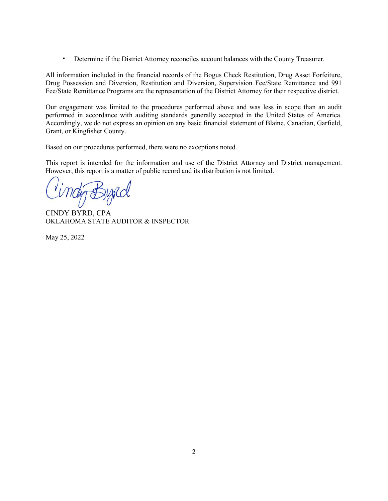Determine if the District Attorney reconciles account balances with the County Treasurer.

All information included in the financial records of the Bogus Check Restitution, Drug Asset Forfeiture, Drug Possession and Diversion, Restitution and Diversion, Supervision Fee/State Remittance and 991 Fee/State Remittance Programs are the representation of the District Attorney for their respective district.

Our engagement was limited to the procedures performed above and was less in scope than an audit performed in accordance with auditing standards generally accepted in the United States of America. Accordingly, we do not express an opinion on any basic financial statement of Blaine, Canadian, Garfield, Grant, or Kingfisher County.

Based on our procedures performed, there were no exceptions noted.

This report is intended for the information and use of the District Attorney and District management. However, this report is a matter of public record and its distribution is not limited.

CINDY BYRD, CPA OKLAHOMA STATE AUDITOR & INSPECTOR

May 25, 2022